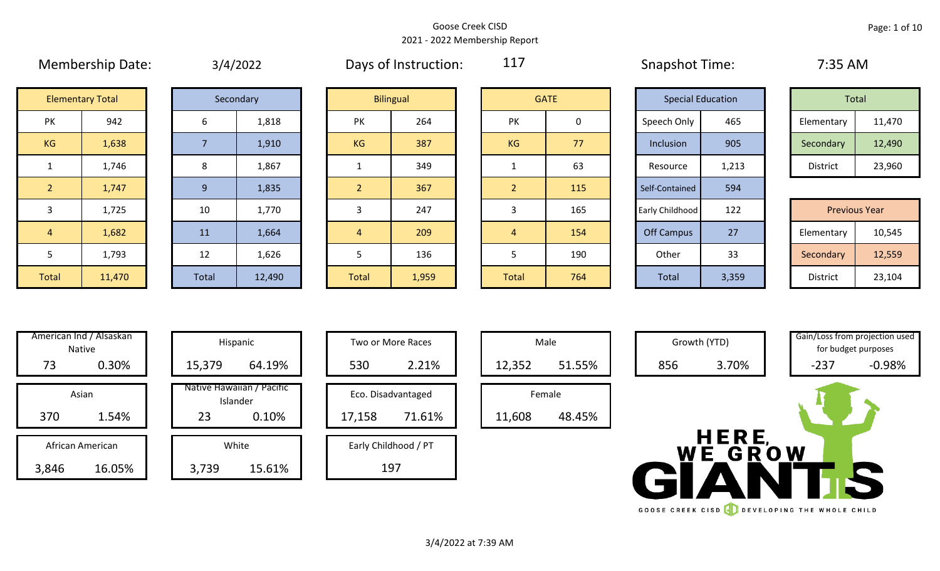#### Goose Creek CISD 2021 - 2022 Membership Report

|                |                         | $-1$ $-1$ $-1$ |           |  |                |                  |                |             | _______________________ |                          |            |                      |
|----------------|-------------------------|----------------|-----------|--|----------------|------------------|----------------|-------------|-------------------------|--------------------------|------------|----------------------|
|                | <b>Elementary Total</b> |                | Secondary |  |                | <b>Bilingual</b> |                | <b>GATE</b> |                         | <b>Special Education</b> | Total      |                      |
| PK             | 942                     | b              | 1,818     |  | <b>PK</b>      | 264              | PK             | 0           | Speech Only             | 465                      | Elementary | 11,470               |
| KG             | 1,638                   |                | 1,910     |  | KG             | 387              | KG             | 77          | Inclusion               | 905                      | Secondary  | 12,490               |
| $\mathbf{1}$   | 1,746                   | 8              | 1,867     |  |                | 349              |                | 63          | Resource                | 1,213                    | District   | 23,960               |
| $\overline{2}$ | 1,747                   | 9              | 1,835     |  | 2              | 367              | $\overline{2}$ | 115         | Self-Contained          | 594                      |            |                      |
| 3              | 1,725                   | 10             | 1,770     |  | 3              | 247              | 3              | 165         | Early Childhood         | 122                      |            | <b>Previous Year</b> |
| $\overline{4}$ | 1,682                   | 11             | 1,664     |  | $\overline{4}$ | 209              | 4              | 154         | <b>Off Campus</b>       | 27                       | Elementary | 10,545               |
| 5              | 1,793                   | 12             | 1,626     |  | 5              | 136              | 5              | 190         | Other                   | 33                       | Secondary  | 12,559               |
| Total          | 11,470                  | Total          | 12,490    |  | <b>Total</b>   | 1,959            | Total          | 764         | Total                   | 3,359                    | District   | 23,104               |

| 3/4/2022 |
|----------|
|          |

Membership Date: 3/4/2022 Cays of Instruction: 117 Shapshot Time: 7:35 AM

117

| Total           |        |
|-----------------|--------|
| Elementary      | 11,470 |
| Secondary       | 12,490 |
| <b>District</b> | 23,960 |

|             | 1,725  | 10    | 1,770  |              | 247   |              | 165 | Early Childhood | 122   | <b>Previous Year</b> |        |
|-------------|--------|-------|--------|--------------|-------|--------------|-----|-----------------|-------|----------------------|--------|
|             | 1,682  | 11    | 1,664  |              | 209   |              | 154 | Off Campus      | 27    | Elementary           | 10,545 |
|             | 1,793  | 12    | 1,626  |              | 136   |              | 190 | Other           | 33    | Secondary            | 12,559 |
| <b>otal</b> | 11,470 | Total | 12,490 | <b>Total</b> | 1,959 | <b>Total</b> | 764 | Total           | 3,359 | District             | 23,104 |

|       | American Ind / Alsaskan<br><b>Native</b> | Hispani                    |
|-------|------------------------------------------|----------------------------|
| 73    | 0.30%                                    | 15,379                     |
|       | Asian                                    | Native Hawaiiai<br>Islande |
| 370   | 1.54%                                    | 23                         |
|       | African American                         | White                      |
|       |                                          |                            |
| 3 ጸ46 | 16 በ5%                                   | 3.739                      |

|       | American Ind / Alsaskan<br>Native |        | Hispanic                              |        | Two or More Races    |        | Male   |
|-------|-----------------------------------|--------|---------------------------------------|--------|----------------------|--------|--------|
| 73    | 0.30%                             | 15,379 | 64.19%                                | 530    | 2.21%                | 12,352 | 51.55% |
|       | Asian                             |        | Native Hawaiian / Pacific<br>Islander |        | Eco. Disadvantaged   | Female |        |
| 370   | 1.54%                             | 23     | 0.10%                                 | 17,158 | 71.61%               | 11,608 | 48.45% |
|       | African American                  |        | White                                 |        | Early Childhood / PT |        |        |
| 3,846 | 16.05%                            | 3,739  | 15.61%                                |        | 197                  |        |        |

| Hispanic                                |        | Two or More Races            |
|-----------------------------------------|--------|------------------------------|
| 64.19%                                  | 530    | 2.21%                        |
| lawaiian / Pacific<br>Islander<br>0.10% | 17,158 | Eco. Disadvantaged<br>71.61% |
| White<br>15.61%                         |        | Early Childhood / PT         |



Male Growth (YTD) Gain/Loss from projection used

WE GROW

GOOSE CREEK CISD **CONSERVANCE THE WHOLE CHILD** 

for budget purposes

3/4/2022 at 7:39 AM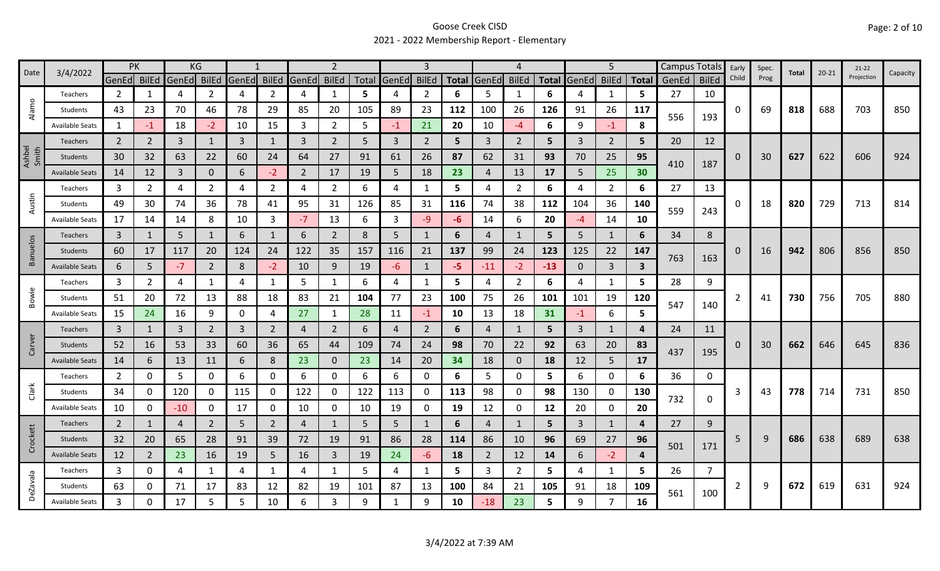### Goose Creek CISD 2021 - 2022 Membership Report - Elementary

| Date            | 3/4/2022               | <b>PK</b>            |                | KG             |                |       |                |                | 2              |       |             | 3              |              |                | 4              |                |                | 5              |                         | Campus Totals Early |              |          | Spec. | Total | $20 - 21$ | $21 - 22$  | Capacity |
|-----------------|------------------------|----------------------|----------------|----------------|----------------|-------|----------------|----------------|----------------|-------|-------------|----------------|--------------|----------------|----------------|----------------|----------------|----------------|-------------------------|---------------------|--------------|----------|-------|-------|-----------|------------|----------|
|                 |                        | GenEd <b> </b> BilEd |                | GenEd          | <b>BilEd</b>   | GenEd | <b>BilEd</b>   | GenEd          | <b>BilEd</b>   | Total | GenEd BilEd |                | <b>Total</b> | <b>GenEd</b>   | <b>BilEd</b>   | <b>Total</b>   | GenEd          | <b>BilEd</b>   | <b>Total</b>            | GenEd               | <b>BilEd</b> | Child    | Prog  |       |           | Projection |          |
|                 | Teachers               | $\overline{2}$       | $\mathbf 1$    | 4              | 2              | 4     | $\overline{2}$ | 4              | 1              | 5     | 4           | 2              | 6            | 5              | $\mathbf{1}$   | 6              | 4              | 1              | 5                       | 27                  | 10           |          |       |       |           |            |          |
| Alamo           | Students               | 43                   | 23             | 70             | 46             | 78    | 29             | 85             | 20             | 105   | 89          | 23             | 112          | 100            | 26             | 126            | 91             | 26             | 117                     |                     | 193          | 0        | 69    | 818   | 688       | 703        | 850      |
|                 | <b>Available Seats</b> | 1                    | $-1$           | 18             | $-2$           | 10    | 15             | 3              | $\overline{2}$ | 5     | $-1$        | 21             | 20           | 10             | -4             | 6              | 9              | $-1$           | 8                       | 556                 |              |          |       |       |           |            |          |
|                 | Teachers               | $\overline{2}$       | 2              | 3              | $\mathbf{1}$   | 3     | $\mathbf{1}$   | 3              | $2^{\circ}$    | 5     | 3           | $\overline{2}$ | 5            | 3              | $\overline{2}$ | 5              | 3              | $\overline{2}$ | 5                       | 20                  | 12           |          |       |       |           |            |          |
| Ashbel<br>Smith | Students               | 30                   | 32             | 63             | 22             | 60    | 24             | 64             | 27             | 91    | 61          | 26             | 87           | 62             | 31             | 93             | 70             | 25             | 95                      |                     |              | 0        | 30    | 627   | 622       | 606        | 924      |
|                 | <b>Available Seats</b> | 14                   | 12             | $\mathbf{3}$   | $\mathbf{0}$   | 6     | $-2$           | $\overline{2}$ | 17             | 19    | 5           | 18             | 23           | $\overline{4}$ | 13             | 17             | 5              | 25             | 30                      | 410                 | 187          |          |       |       |           |            |          |
|                 | Teachers               | 3                    | $\overline{2}$ | 4              | $\overline{2}$ | 4     | $\overline{2}$ | 4              | $\overline{2}$ | 6     | 4           | 1              | 5            | 4              | $\overline{2}$ | 6              | 4              | $\overline{2}$ | 6                       | 27                  | 13           |          |       |       |           |            |          |
| Austin          | Students               | 49                   | 30             | 74             | 36             | 78    | 41             | 95             | 31             | 126   | 85          | 31             | 116          | 74             | 38             | 112            | 104            | 36             | 140                     |                     |              | 0        | 18    | 820   | 729       | 713        | 814      |
|                 | <b>Available Seats</b> | 17                   | 14             | 14             | 8              | 10    | 3              | $-7$           | 13             | 6     | 3           | $-9$           | $-6$         | 14             | 6              | 20             | -4             | 14             | 10                      | 559                 | 243          |          |       |       |           |            |          |
|                 | <b>Teachers</b>        | $\mathbf{3}$         | $\mathbf{1}$   | 5              | 1              | 6     | 1              | 6              | $\overline{2}$ | 8     | 5           | 1              | 6            | 4              | -1             | 5              | 5              | 1              | 6                       | 34                  | 8            |          |       |       |           |            |          |
| Banuelos        | Students               | 60                   | 17             | 117            | 20             | 124   | 24             | 122            | 35             | 157   | 116         | 21             | 137          | 99             | 24             | 123            | 125            | 22             | 147                     |                     |              | 0        | 16    | 942   | 806       | 856        | 850      |
|                 | <b>Available Seats</b> | 6                    | 5              | $-7$           | $\overline{2}$ | 8     | $-2$           | 10             | 9              | 19    | $-6$        | 1              | -5.          | $-11$          | $-2$           | $-13$          | $\mathbf 0$    | $\overline{3}$ | $\overline{\mathbf{3}}$ | 763<br>28<br>5.     | 163          |          |       |       |           |            |          |
|                 | Teachers               | 3                    | 2              | 4              |                | 4     | 1              | 5              | $\mathbf{1}$   | 6     | 4           | 1              | 5.           | 4              | $\overline{2}$ | 6              | 4              | $\mathbf{1}$   |                         |                     | 9            |          |       |       |           |            |          |
| Bowie           | Students               | 51                   | 20             | 72             | 13             | 88    | 18             | 83             | 21             | 104   | 77          | 23             | 100          | 75             | 26             | 101            | 101            | 19             | 120                     |                     |              |          | 41    | 730   | 756       | 705        | 880      |
|                 | <b>Available Seats</b> | 15                   | 24             | 16             | 9              | 0     | 4              | 27             | $\mathbf{1}$   | 28    | 11          | $-1$           | 10           | 13             | 18             | 31             | $-1$           | 6              | 5                       | 547                 | 140          |          |       |       |           |            |          |
|                 | Teachers               | $\overline{3}$       | 1              | $\overline{3}$ | $\overline{2}$ | 3     | $\overline{2}$ | 4              | $\overline{2}$ | 6     | 4           | $\overline{2}$ | 6            | 4              | -1             | 5 <sup>5</sup> | $\overline{3}$ | $\mathbf{1}$   | 4                       | 24                  | 11           |          |       |       |           |            |          |
| Carver          | Students               | 52                   | 16             | 53             | 33             | 60    | 36             | 65             | 44             | 109   | 74          | 24             | 98           | 70             | 22             | 92             | 63             | 20             | 83                      |                     |              | $\Omega$ | 30    | 662   | 646       | 645        | 836      |
|                 | <b>Available Seats</b> | 14                   | 6              | 13             | 11             | 6     | 8              | 23             | $\mathbf{0}$   | 23    | 14          | 20             | 34           | 18             | $\mathbf{0}$   | 18             | 12             | 5              | 17                      | 437                 | 195          |          |       |       |           |            |          |
|                 | Teachers               | $\overline{2}$       | 0              | 5              | 0              | 6     | 0              | 6              | 0              | 6     | 6           | $\Omega$       | 6            | 5              | 0              | 5              | 6              | 0              | 6                       | 36                  | 0            |          |       |       |           |            |          |
| Clark           | Students               | 34                   | 0              | 120            | 0              | 115   | 0              | 122            | 0              | 122   | 113         | 0              | 113          | 98             | 0              | 98             | 130            | 0              | 130                     |                     |              | 3        | 43    | 778   | 714       | 731        | 850      |
|                 | <b>Available Seats</b> | 10                   | 0              | $-10$          | 0              | 17    | 0              | 10             | $\mathsf{O}$   | 10    | 19          | 0              | 19           | 12             | 0              | 12             | 20             | $\mathsf{O}$   | 20                      | 732                 | 0            |          |       |       |           |            |          |
|                 | <b>Teachers</b>        | $\overline{2}$       | $\mathbf{1}$   | 4              | $\overline{2}$ | 5     | $\overline{2}$ | 4              | $\mathbf{1}$   | 5     | 5           | 1              | 6            | 4              | 1              | 5              | 3              | $\mathbf{1}$   | 4                       | 27                  | 9            |          |       |       |           |            |          |
| Crockett        | Students               | 32                   | 20             | 65             | 28             | 91    | 39             | 72             | 19             | 91    | 86          | 28             | 114          | 86             | 10             | 96             | 69             | 27             | 96                      |                     |              | 5        | 9     | 686   | 638       | 689        | 638      |
|                 | <b>Available Seats</b> | 12                   | $\overline{2}$ | 23             | 16             | 19    | 5 <sup>1</sup> | 16             | $\mathbf{3}$   | 19    | 24          | -6             | 18           | $\overline{2}$ | 12             | 14             | 6              | $-2$           | $\boldsymbol{a}$        | 501                 | 171          |          |       |       |           |            |          |
|                 | Teachers               | 3                    | 0              | 4              | 1              | 4     | $\mathbf{1}$   | 4              | $\mathbf{1}$   | 5     | 4           | 1              | 5            | 3              | $\overline{2}$ | 5              | 4              | $\mathbf{1}$   | 5                       | 26                  | 7            |          |       |       |           |            |          |
|                 | Students               | 63                   | 0              | 71             | 17             | 83    | 12             | 82             | 19             | 101   | 87          | 13             | 100          | 84             | 21             | 105            | 91             | 18             | 109                     |                     |              | 2        | 9     | 672   | 619       | 631        | 924      |
| <b>DeZavala</b> | <b>Available Seats</b> | 3                    | O              | 17             | 5              | 5     | 10             | 6              | 3              | q     | 1           | 9              | 10           | $-18$          | 23             | 5.             | 9              | $\overline{7}$ | 16                      | 561                 | 100          |          |       |       |           |            |          |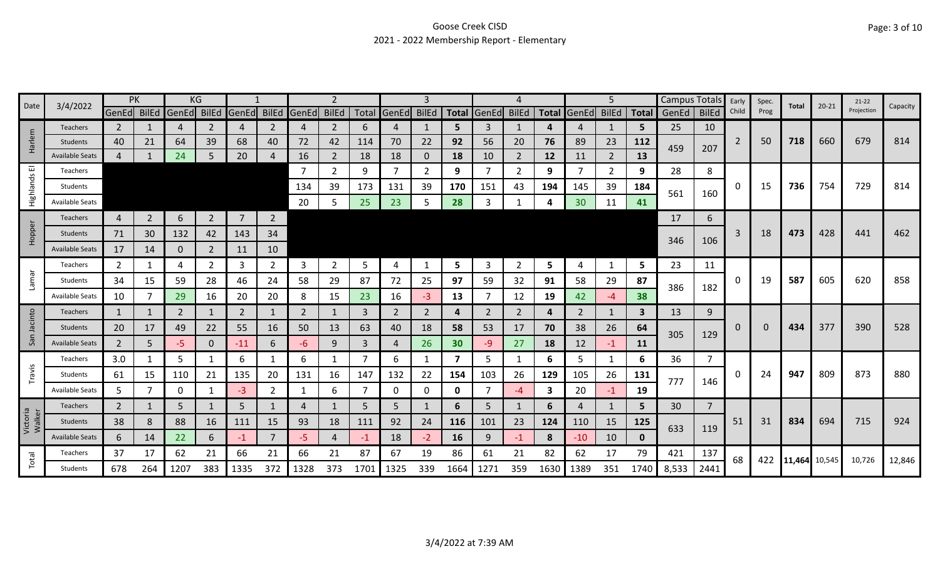### Goose Creek CISD 2021 - 2022 Membership Report - Elementary

|                    | 3/4/2022               | PK             |                | KG             |                |                |                |                         | 2              |      |                   |      |              |       |                |              |       | 5              |              | Campus Totals |                | Early    | Spec.    | Total         | $20 - 21$ | $21-22$    | Capacity |
|--------------------|------------------------|----------------|----------------|----------------|----------------|----------------|----------------|-------------------------|----------------|------|-------------------|------|--------------|-------|----------------|--------------|-------|----------------|--------------|---------------|----------------|----------|----------|---------------|-----------|------------|----------|
| Date               |                        | GenEd BilEd    |                | GenEd          | <b>BilEd</b>   |                |                | GenEd BilEd GenEd BilEd |                |      | Total GenEd BilEd |      | <b>Total</b> | GenEd | <b>BilEd</b>   | <b>Total</b> | GenEd | <b>BilEd</b>   | <b>Total</b> | GenEd         | <b>BilEd</b>   | Child    | Prog     |               |           | Projection |          |
|                    | <b>Teachers</b>        | $\overline{2}$ |                | 4              | 2              | 4              | 2              | 4                       | $\overline{2}$ | 6    | $\overline{4}$    |      | 5.           | 3     | 1              | 4            | 4     | 1              | 5            | 25            | 10             |          |          |               |           |            |          |
| Harlem             | Students               | 40             | 21             | 64             | 39             | 68             | 40             | 72                      | 42             | 114  | 70                | 22   | 92           | 56    | 20             | 76           | 89    | 23             | 112          | 459           | 207            | 2        | 50       | 718           | 660       | 679        | 814      |
|                    | <b>Available Seats</b> | $\overline{4}$ |                | 24             |                | 20             | 4              | 16                      | $\overline{2}$ | 18   | 18                | 0    | 18           | 10    | 2              | 12           | 11    | $\overline{2}$ | 13           |               |                |          |          |               |           |            |          |
| 画                  | Teachers               |                |                |                |                |                |                |                         | $\overline{2}$ | 9    | 7                 | 2    | 9            |       | $\overline{2}$ | 9            |       | 2              | 9            | 28            | 8              |          |          |               |           |            |          |
| Highlands          | Students               |                |                |                |                |                |                | 134                     | 39             | 173  | 131               | 39   | 170          | 151   | 43             | 194          | 145   | 39             | 184          | 561           | 160            | 0        | 15       | 736           | 754       | 729        | 814      |
|                    | <b>Available Seats</b> |                |                |                |                |                |                | 20                      | 5              | 25   | 23                | 5    | 28           |       |                |              | 30    | 11             | 41           |               |                |          |          |               |           |            |          |
|                    | Teachers               | 4              | $\overline{2}$ | 6              | $2^{\circ}$    | $\overline{7}$ | $\overline{2}$ |                         |                |      |                   |      |              |       |                |              |       |                |              | 17            | 6              |          |          |               |           |            |          |
| Hopper             | Students               | 71             | 30             | 132            | 42             | 143            | 34             |                         |                |      |                   |      |              |       |                |              |       |                |              | 346           | 106            | 3        | 18       | 473           | 428       | 441        | 462      |
|                    | <b>Available Seats</b> | 17             | 14             | $\mathbf 0$    | $\overline{2}$ | 11             | 10             |                         |                |      |                   |      |              |       |                |              |       |                |              |               |                |          |          |               |           |            |          |
|                    | Teachers               | 2              | -1             | 4              | 2              | 3              | 2              | 3                       | 2              | 5    | 4                 |      | 5            | 3     | $\overline{2}$ | 5            | 4     | $\mathbf{1}$   | 5            | 23            | 11             |          |          |               |           |            |          |
| Iamar              | Students               | 34             | 15             | 59             | 28             | 46             | 24             | 58                      | 29             | 87   | 72                | 25   | 97           | 59    | 32             | 91           | 58    | 29             | 87           |               |                | 0        | 19       | 587           | 605       | 620        | 858      |
|                    | <b>Available Seats</b> | 10             |                | 29             | 16             | 20             | 20             | 8                       | 15             | 23   | 16                | $-3$ | 13           |       | 12             | 19           | 42    | $-4$           | 38           | 386           | 182            |          |          |               |           |            |          |
|                    | <b>Teachers</b>        | 1              |                | $\overline{2}$ |                | $\overline{2}$ |                | 2                       | 1              | 3    | 2                 | 2    | 4            | 2     | 2              | 4            | 2     | 1              | 3            | 13            | 9              |          |          |               |           |            |          |
| San Jacinto        | Students               | 20             | 17             | 49             | 22             | 55             | 16             | 50                      | 13             | 63   | 40                | 18   | 58           | 53    | 17             | 70           | 38    | 26             | 64           |               |                | 0        | $\Omega$ | 434           | 377       | 390        | 528      |
|                    | <b>Available Seats</b> | $\overline{2}$ | 5              | $-5$           | 0              | $-11$          | 6              | -6                      | 9              | 3    | $\overline{4}$    | 26   | 30           | -9    | 27             | 18           | 12    | $-1$           | 11           | 305           | 129            |          |          |               |           |            |          |
|                    | Teachers               | 3.0            | 1              | 5              |                | 6              |                | 6                       | 1              |      | 6                 |      | 7            | 5.    | 1              | 6            | 5     | 1              | 6            | 36            | $\overline{7}$ |          |          |               |           |            |          |
| Travis             | Students               | 61             | 15             | 110            | 21             | 135            | 20             | 131                     | 16             | 147  | 132               | 22   | 154          | 103   | 26             | 129          | 105   | 26             | 131          |               |                | $\Omega$ | 24       | 947           | 809       | 873        | 880      |
|                    | <b>Available Seats</b> | 5              |                | 0              |                | -3             | 2              |                         | 6              |      | 0                 | 0    | 0            |       | -4             | 3            | 20    | $-1$           | 19           | 777           | 146            |          |          |               |           |            |          |
|                    | Teachers               | $\overline{2}$ |                | 5              |                | 5              |                |                         |                | -5   | 5                 |      | 6            | 5     |                | 6            | 4     |                | 5            | 30            | $\overline{7}$ |          |          |               |           |            |          |
| Victoria<br>Walker | Students               | 38             | 8              | 88             | 16             | 111            | 15             | 93                      | 18             | 111  | 92                | 24   | 116          | 101   | 23             | 124          | 110   | 15             | 125          | 633           |                | 51       | 31       | 834           | 694       | 715        | 924      |
|                    | <b>Available Seats</b> | 6              | 14             | 22             | 6              | -1             | 7              | -5                      | 4              | -1   | 18                | $-2$ | 16           | 9     | -1             | 8            | $-10$ | 10             | $\mathbf 0$  |               | 119            |          |          |               |           |            |          |
|                    | Teachers               | 37             | 17             | 62             | 21             | 66             | 21             | 66                      | 21             | 87   | 67                | 19   | 86           | 61    | 21             | 82           | 62    | 17             | 79           | 421           | 137            |          | 422      |               |           | 10,726     |          |
| Total              | Students               | 678            | 264            | 1207           | 383            | 1335           | 372            | 1328                    | 373            | 1701 | 1325              | 339  | 1664         | 1271  | 359            | 1630         | 1389  | 351            | 1740         | 8,533         | 2441           | 68       |          | 11,464 10,545 |           |            | 12,846   |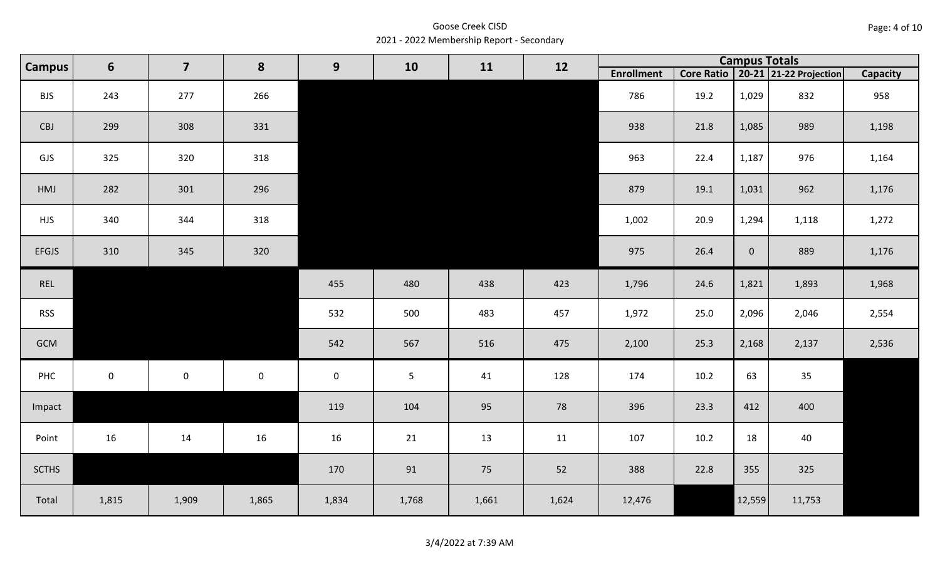Goose Creek CISD 2021 - 2022 Membership Report - Secondary

| <b>Campus</b><br>$6\phantom{1}6$ |           | $\overline{\mathbf{z}}$ | 8         | 9                   | 10    | 11    | 12    |                   |      | <b>Campus Totals</b> |                                       |                 |
|----------------------------------|-----------|-------------------------|-----------|---------------------|-------|-------|-------|-------------------|------|----------------------|---------------------------------------|-----------------|
|                                  |           |                         |           |                     |       |       |       | <b>Enrollment</b> |      |                      | Core Ratio   20-21   21-22 Projection | <b>Capacity</b> |
| <b>BJS</b>                       | 243       | 277                     | 266       |                     |       |       |       | 786               | 19.2 | 1,029                | 832                                   | 958             |
| CBJ                              | 299       | 308                     | 331       |                     |       |       |       | 938               | 21.8 | 1,085                | 989                                   | 1,198           |
| GJS                              | 325       | 320                     | 318       |                     |       |       |       | 963               | 22.4 | 1,187                | 976                                   | 1,164           |
| HMJ                              | 282       | 301                     | 296       |                     |       |       |       | 879               | 19.1 | 1,031                | 962                                   | 1,176           |
| <b>HJS</b>                       | 340       | 344                     | 318       |                     |       |       |       | 1,002             | 20.9 | 1,294                | 1,118                                 | 1,272           |
| <b>EFGJS</b>                     | 310       | 345                     | 320       |                     |       |       |       | 975               | 26.4 | $\overline{0}$       | 889                                   | 1,176           |
| REL                              |           |                         |           | 455                 | 480   | 438   | 423   | 1,796             | 24.6 | 1,821                | 1,893                                 | 1,968           |
| <b>RSS</b>                       |           |                         |           | 532                 | 500   | 483   | 457   | 1,972             | 25.0 | 2,096                | 2,046                                 | 2,554           |
| GCM                              |           |                         |           | 542                 | 567   | 516   | 475   | 2,100             | 25.3 | 2,168                | 2,137                                 | 2,536           |
| PHC                              | $\pmb{0}$ | $\mathsf{O}\xspace$     | $\pmb{0}$ | $\mathsf{O}\xspace$ | 5     | 41    | 128   | 174               | 10.2 | 63                   | 35                                    |                 |
| Impact                           |           |                         |           | 119                 | 104   | 95    | 78    | 396               | 23.3 | 412                  | 400                                   |                 |
| Point                            | 16        | 14                      | 16        | 16                  | 21    | 13    | 11    | 107               | 10.2 | 18                   | 40                                    |                 |
| <b>SCTHS</b>                     |           |                         |           | 170                 | 91    | 75    | 52    | 388               | 22.8 | 355                  | 325                                   |                 |
| Total                            | 1,815     | 1,909                   | 1,865     | 1,834               | 1,768 | 1,661 | 1,624 | 12,476            |      | 12,559               | 11,753                                |                 |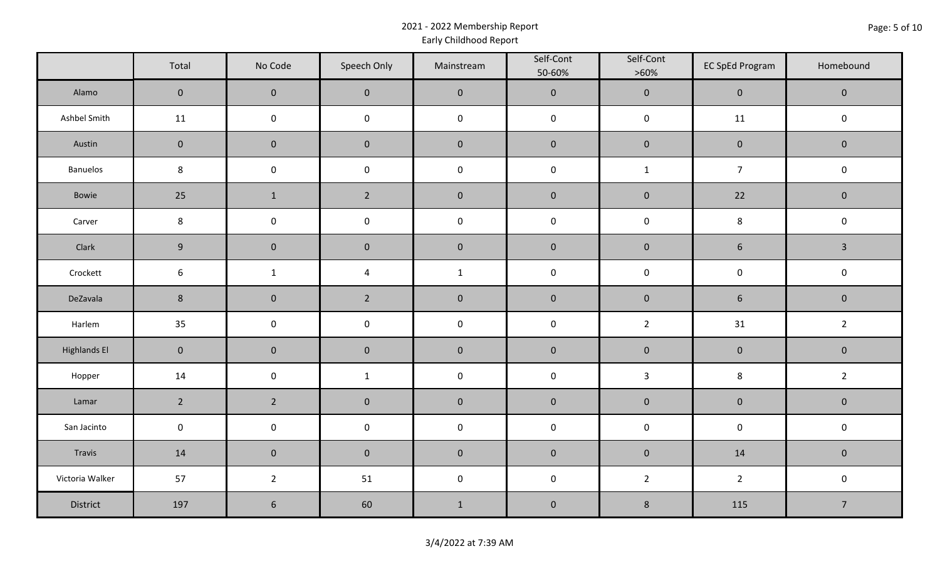### 2021 - 2022 Membership Report Early Childhood Report

|                     | Total               | No Code        | Speech Only    | Mainstream          | Self-Cont<br>50-60% | Self-Cont<br>$>60\%$ | <b>EC SpEd Program</b> | Homebound      |
|---------------------|---------------------|----------------|----------------|---------------------|---------------------|----------------------|------------------------|----------------|
| Alamo               | $\overline{0}$      | $\overline{0}$ | $\mathbf{0}$   | $\mathbf 0$         | $\mathbf 0$         | $\mathbf 0$          | $\mathbf 0$            | $\mathbf 0$    |
| Ashbel Smith        | 11                  | $\mathbf 0$    | $\pmb{0}$      | $\pmb{0}$           | $\mathbf 0$         | $\mathbf 0$          | 11                     | $\mathbf 0$    |
| Austin              | $\mathbf 0$         | $\mathbf 0$    | $\pmb{0}$      | $\pmb{0}$           | $\pmb{0}$           | $\pmb{0}$            | $\pmb{0}$              | $\mathbf 0$    |
| <b>Banuelos</b>     | $\bf 8$             | $\pmb{0}$      | $\pmb{0}$      | $\pmb{0}$           | $\pmb{0}$           | $\mathbf{1}$         | $\overline{7}$         | $\mathbf 0$    |
| Bowie               | 25                  | $\mathbf{1}$   | $2^{\circ}$    | $\mathbf 0$         | $\mathbf 0$         | $\pmb{0}$            | 22                     | $\mathbf 0$    |
| Carver              | $\bf 8$             | $\pmb{0}$      | $\pmb{0}$      | $\pmb{0}$           | $\pmb{0}$           | $\mathbf 0$          | $\bf 8$                | $\mathbf 0$    |
| Clark               | $9\,$               | $\mathbf 0$    | $\pmb{0}$      | $\pmb{0}$           | $\pmb{0}$           | $\pmb{0}$            | $\boldsymbol{6}$       | $\overline{3}$ |
| Crockett            | $6\phantom{.}6$     | $\mathbf{1}$   | $\overline{4}$ | $\mathbf{1}$        | $\pmb{0}$           | $\mathsf{O}\xspace$  | $\mathsf 0$            | $\mathbf 0$    |
| DeZavala            | $\,$ 8 $\,$         | $\mathbf 0$    | $\overline{2}$ | $\pmb{0}$           | $\pmb{0}$           | $\pmb{0}$            | $\boldsymbol{6}$       | $\mathbf 0$    |
| Harlem              | 35                  | $\pmb{0}$      | $\pmb{0}$      | $\pmb{0}$           | $\pmb{0}$           | $\overline{2}$       | 31                     | $\overline{2}$ |
| <b>Highlands El</b> | $\mathbf 0$         | $\pmb{0}$      | $\pmb{0}$      | $\pmb{0}$           | $\pmb{0}$           | $\pmb{0}$            | $\pmb{0}$              | $\mathbf 0$    |
| Hopper              | 14                  | $\pmb{0}$      | $\mathbf{1}$   | $\pmb{0}$           | $\pmb{0}$           | $\mathbf{3}$         | $\,$ 8 $\,$            | $\overline{2}$ |
| Lamar               | $2^{\circ}$         | $\overline{2}$ | $\pmb{0}$      | $\pmb{0}$           | $\pmb{0}$           | $\pmb{0}$            | $\pmb{0}$              | $\mathbf 0$    |
| San Jacinto         | $\mathsf{O}\xspace$ | $\pmb{0}$      | $\pmb{0}$      | $\mathsf{O}\xspace$ | $\pmb{0}$           | $\mathsf{O}\xspace$  | $\mathbf 0$            | $\mathbf 0$    |
| Travis              | 14                  | $\mathbf 0$    | $\mathbf 0$    | $\pmb{0}$           | $\pmb{0}$           | $\pmb{0}$            | 14                     | $\mathbf 0$    |
| Victoria Walker     | 57                  | $\overline{2}$ | 51             | $\mathsf{O}\xspace$ | $\pmb{0}$           | $2^{\circ}$          | $\overline{2}$         | $\mathbf 0$    |
| District            | 197                 | 6              | 60             | $1\,$               | $\pmb{0}$           | $\bf 8$              | 115                    | $\overline{7}$ |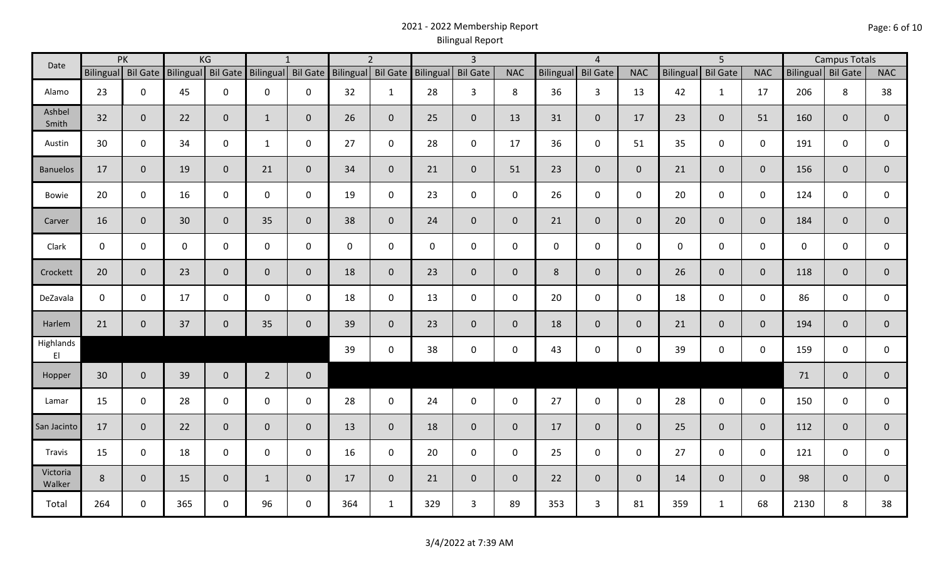## 2021 - 2022 Membership Report Bilingual Report

| Date               | PK<br>Bilingual Bil Gate |              |             | KG                 |                | $\mathbf{1}$       |                    | $\overline{2}$ |                    | $\overline{3}$ |                |             | $\overline{4}$  |                |                  | 5 <sup>5</sup>  |                |                    | <b>Campus Totals</b> |                |
|--------------------|--------------------------|--------------|-------------|--------------------|----------------|--------------------|--------------------|----------------|--------------------|----------------|----------------|-------------|-----------------|----------------|------------------|-----------------|----------------|--------------------|----------------------|----------------|
|                    |                          |              |             | Bilingual Bil Gate |                | Bilingual Bil Gate | Bilingual Bil Gate |                | Bilingual Bil Gate |                | <b>NAC</b>     | Bilingual   | <b>Bil Gate</b> | <b>NAC</b>     | <b>Bilingual</b> | <b>Bil Gate</b> | <b>NAC</b>     | Bilingual Bil Gate |                      | <b>NAC</b>     |
| Alamo              | 23                       | $\mathbf 0$  | 45          | $\mathbf 0$        | 0              | 0                  | 32                 | $\mathbf{1}$   | 28                 | 3              | 8              | 36          | $\mathbf{3}$    | 13             | 42               | $\mathbf{1}$    | 17             | 206                | 8                    | 38             |
| Ashbel<br>Smith    | 32                       | $\mathbf{0}$ | 22          | $\mathbf 0$        | $\mathbf{1}$   | $\mathbf 0$        | 26                 | $\overline{0}$ | 25                 | $\mathbf 0$    | 13             | 31          | $\overline{0}$  | 17             | 23               | $\mathbf{0}$    | 51             | 160                | $\mathbf{0}$         | $\mathbf 0$    |
| Austin             | 30                       | $\mathbf 0$  | 34          | $\mathsf 0$        | $\mathbf{1}$   | $\mathbf 0$        | 27                 | $\mathbf 0$    | 28                 | $\mathbf 0$    | 17             | 36          | $\mathbf 0$     | 51             | 35               | $\mathbf 0$     | $\mathbf 0$    | 191                | $\mathbf 0$          | 0              |
| <b>Banuelos</b>    | 17                       | $\mathbf{0}$ | 19          | $\mathbf 0$        | 21             | $\mathbf{0}$       | 34                 | $\overline{0}$ | 21                 | $\overline{0}$ | 51             | 23          | $\overline{0}$  | $\overline{0}$ | 21               | $\mathbf{0}$    | $\overline{0}$ | 156                | $\mathbf 0$          | $\mathbf 0$    |
| Bowie              | 20                       | $\mathbf 0$  | 16          | $\mathbf 0$        | $\mathsf{O}$   | $\mathbf 0$        | 19                 | $\mathbf 0$    | 23                 | $\mathbf 0$    | $\mathbf 0$    | 26          | $\mathbf 0$     | $\mathbf 0$    | 20               | $\mathbf 0$     | $\mathbf 0$    | 124                | $\mathbf 0$          | $\mathsf{O}$   |
| Carver             | 16                       | $\mathbf 0$  | 30          | $\mathbf 0$        | 35             | $\mathbf{0}$       | 38                 | $\mathbf{0}$   | 24                 | $\mathbf 0$    | $\mathbf{0}$   | 21          | $\overline{0}$  | $\mathbf{0}$   | 20               | $\mathbf{0}$    | $\overline{0}$ | 184                | $\mathbf{0}$         | $\mathbf 0$    |
| Clark              | $\mathbf 0$              | $\mathbf 0$  | $\mathbf 0$ | $\mathbf 0$        | 0              | $\mathbf 0$        | $\mathsf{O}$       | $\mathbf 0$    | $\mathbf 0$        | $\mathbf 0$    | $\mathbf 0$    | $\mathbf 0$ | $\mathbf 0$     | $\mathbf 0$    | $\mathbf 0$      | $\mathbf 0$     | $\mathbf 0$    | $\mathbf 0$        | $\mathbf 0$          | 0              |
| Crockett           | 20                       | $\mathbf 0$  | 23          | $\mathbf 0$        | $\mathbf 0$    | $\mathbf{0}$       | 18                 | $\overline{0}$ | 23                 | $\overline{0}$ | $\mathbf{0}$   | 8           | $\overline{0}$  | $\overline{0}$ | 26               | $\overline{0}$  | $\mathbf{0}$   | 118                | $\mathbf{0}$         | $\mathbf 0$    |
| DeZavala           | $\mathbf 0$              | $\mathbf 0$  | 17          | $\mathbf 0$        | $\mathsf{O}$   | $\mathbf 0$        | 18                 | $\mathbf 0$    | 13                 | $\mathbf 0$    | $\mathbf 0$    | 20          | $\mathbf 0$     | $\mathbf 0$    | 18               | $\mathbf 0$     | $\mathbf 0$    | 86                 | $\mathbf 0$          | $\mathsf{O}$   |
| Harlem             | 21                       | $\mathbf 0$  | 37          | $\mathbf 0$        | 35             | $\mathbf{0}$       | 39                 | $\overline{0}$ | 23                 | $\mathbf 0$    | $\mathbf{0}$   | 18          | $\overline{0}$  | $\overline{0}$ | 21               | $\mathbf{0}$    | $\overline{0}$ | 194                | $\overline{0}$       | $\overline{0}$ |
| Highlands<br>EI    |                          |              |             |                    |                |                    | 39                 | $\mathbf 0$    | 38                 | $\mathbf 0$    | $\mathbf 0$    | 43          | $\mathbf 0$     | $\mathbf 0$    | 39               | $\mathbf 0$     | $\mathbf 0$    | 159                | $\mathbf 0$          | 0              |
| Hopper             | 30                       | $\mathbf 0$  | 39          | $\mathbf 0$        | $\overline{2}$ | $\mathbf 0$        |                    |                |                    |                |                |             |                 |                |                  |                 |                | 71                 | $\mathbf{0}$         | $\pmb{0}$      |
| Lamar              | 15                       | $\mathbf 0$  | 28          | $\mathbf 0$        | $\mathbf 0$    | $\mathbf 0$        | 28                 | $\mathbf 0$    | 24                 | $\mathbf 0$    | $\mathbf 0$    | 27          | $\mathbf 0$     | $\mathbf 0$    | 28               | $\mathbf 0$     | $\mathbf 0$    | 150                | $\mathbf 0$          | 0              |
| San Jacinto        | 17                       | $\mathbf 0$  | 22          | $\mathbf 0$        | $\mathbf 0$    | $\mathbf{0}$       | 13                 | $\overline{0}$ | 18                 | $\mathbf{0}$   | $\mathbf{0}$   | 17          | $\overline{0}$  | $\overline{0}$ | 25               | $\overline{0}$  | $\mathbf{0}$   | 112                | $\mathbf{0}$         | $\pmb{0}$      |
| Travis             | 15                       | $\mathbf 0$  | 18          | $\mathbf 0$        | $\mathbf 0$    | $\mathbf 0$        | 16                 | $\mathbf 0$    | 20                 | $\mathbf 0$    | $\mathbf 0$    | 25          | $\mathbf 0$     | $\mathbf 0$    | 27               | $\mathbf 0$     | $\mathbf 0$    | 121                | $\mathbf 0$          | 0              |
| Victoria<br>Walker | 8                        | $\mathbf 0$  | 15          | $\overline{0}$     | $\mathbf{1}$   | $\mathbf 0$        | 17                 | $\overline{0}$ | 21                 | $\mathbf 0$    | $\overline{0}$ | 22          | $\overline{0}$  | $\overline{0}$ | 14               | $\overline{0}$  | $\overline{0}$ | 98                 | $\mathbf{0}$         | $\mathbf{0}$   |
| Total              | 264                      | 0            | 365         | $\mathbf 0$        | 96             | 0                  | 364                | $\mathbf{1}$   | 329                | $\mathbf{3}$   | 89             | 353         | $\mathbf{3}$    | 81             | 359              | $\mathbf{1}$    | 68             | 2130               | 8                    | 38             |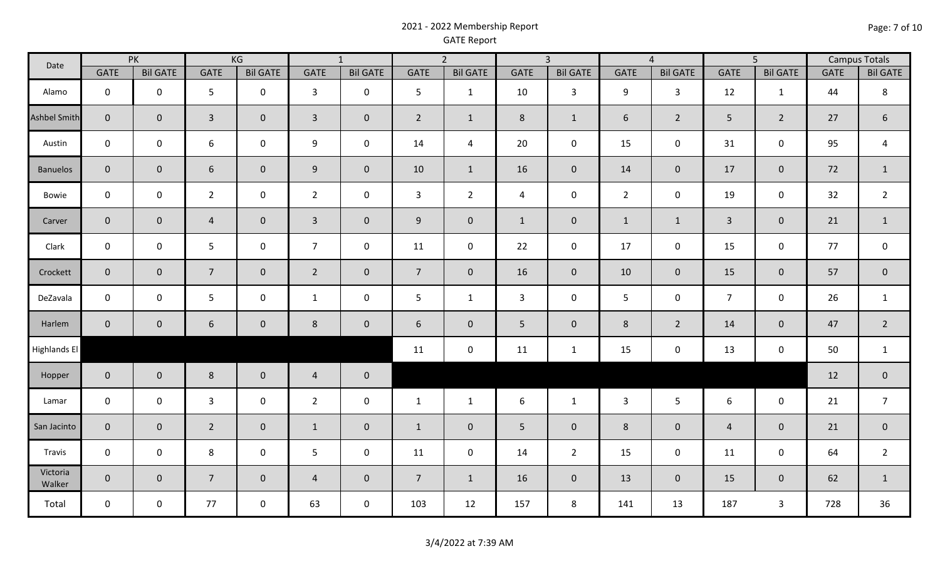### 2021 - 2022 Membership Report GATE Report

| Date                | PK             |                 | KG             |                 | $\overline{1}$ |                 | $\overline{2}$  |                     | $\overline{3}$ |                 | $\overline{4}$ |                 | $\overline{5}$ |                  | <b>Campus Totals</b> |                     |
|---------------------|----------------|-----------------|----------------|-----------------|----------------|-----------------|-----------------|---------------------|----------------|-----------------|----------------|-----------------|----------------|------------------|----------------------|---------------------|
|                     | <b>GATE</b>    | <b>Bil GATE</b> | <b>GATE</b>    | <b>Bil GATE</b> | <b>GATE</b>    | <b>Bil GATE</b> | <b>GATE</b>     | <b>Bil GATE</b>     | <b>GATE</b>    | <b>Bil GATE</b> | <b>GATE</b>    | <b>Bil GATE</b> | <b>GATE</b>    | <b>Bil GATE</b>  | <b>GATE</b>          | <b>Bil GATE</b>     |
| Alamo               | $\mathbf 0$    | $\mathbf 0$     | 5              | $\mathbf 0$     | $\mathbf{3}$   | $\mathbf 0$     | 5               | $\mathbf{1}$        | 10             | $\mathbf{3}$    | 9              | $\mathbf{3}$    | 12             | $\mathbf{1}$     | 44                   | 8                   |
| <b>Ashbel Smith</b> | $\overline{0}$ | $\mathbf{0}$    | $\overline{3}$ | $\overline{0}$  | $\mathbf{3}$   | $\mathbf 0$     | $\overline{2}$  | $\mathbf{1}$        | 8              | $\mathbf{1}$    | $6\phantom{1}$ | $2^{\circ}$     | 5 <sup>5</sup> | $\overline{2}$   | 27                   | $6\phantom{1}$      |
| Austin              | $\mathbf 0$    | $\mathbf 0$     | 6              | $\mathbf 0$     | 9              | $\mathbf 0$     | 14              | $\overline{a}$      | 20             | $\mathbf 0$     | 15             | $\mathbf 0$     | 31             | $\pmb{0}$        | 95                   | $\overline{4}$      |
| <b>Banuelos</b>     | $\mathbf{0}$   | $\mathbf 0$     | 6              | $\overline{0}$  | 9              | $\mathbf 0$     | 10              | $\mathbf{1}$        | 16             | $\overline{0}$  | 14             | $\overline{0}$  | 17             | $\boldsymbol{0}$ | 72                   | $\mathbf{1}$        |
| Bowie               | $\mathbf 0$    | $\mathbf 0$     | $\overline{2}$ | $\mathbf 0$     | $\overline{2}$ | $\mathbf 0$     | $\mathbf{3}$    | $2^{\circ}$         | 4              | $\mathbf 0$     | $\overline{2}$ | $\mathbf 0$     | 19             | $\pmb{0}$        | 32                   | $\overline{2}$      |
| Carver              | $\overline{0}$ | $\mathbf 0$     | $\overline{4}$ | $\overline{0}$  | $\mathbf{3}$   | $\mathbf 0$     | 9               | $\mathsf{O}\xspace$ | $\mathbf{1}$   | $\mathbf 0$     | $\mathbf{1}$   | $\mathbf{1}$    | $\overline{3}$ | $\mathbf 0$      | 21                   | $\mathbf{1}$        |
| Clark               | $\mathbf 0$    | $\mathbf 0$     | 5              | $\mathbf 0$     | $\overline{7}$ | $\mathbf 0$     | 11              | $\pmb{0}$           | 22             | $\mathbf 0$     | 17             | $\mathbf 0$     | 15             | $\pmb{0}$        | 77                   | $\mathsf{O}\xspace$ |
| Crockett            | $\mathbf{0}$   | $\overline{0}$  | $\overline{7}$ | $\overline{0}$  | $\overline{2}$ | $\mathbf 0$     | $7\overline{ }$ | $\overline{0}$      | 16             | $\overline{0}$  | 10             | $\overline{0}$  | 15             | $\pmb{0}$        | 57                   | $\overline{0}$      |
| DeZavala            | $\mathbf 0$    | $\mathbf 0$     | 5              | $\mathbf 0$     | $\mathbf{1}$   | $\mathsf 0$     | 5               | $\mathbf{1}$        | 3              | $\mathbf 0$     | 5              | $\mathbf 0$     | $\overline{7}$ | $\pmb{0}$        | 26                   | $\mathbf{1}$        |
| Harlem              | $\mathbf{0}$   | $\mathbf 0$     | 6              | $\overline{0}$  | 8              | $\mathbf 0$     | 6               | $\mathbf 0$         | 5              | $\mathbf 0$     | 8              | $\overline{2}$  | 14             | $\mathbf 0$      | 47                   | $2^{\circ}$         |
| Highlands El        |                |                 |                |                 |                |                 | 11              | $\mathsf{O}\xspace$ | 11             | $\mathbf{1}$    | 15             | $\mathbf 0$     | 13             | $\pmb{0}$        | 50                   | $\mathbf{1}$        |
| Hopper              | $\mathbf 0$    | $\mathbf{0}$    | 8              | $\overline{0}$  | $\overline{4}$ | $\pmb{0}$       |                 |                     |                |                 |                |                 |                |                  | 12                   | $\mathbf{0}$        |
| Lamar               | $\mathbf 0$    | $\mathbf 0$     | $\mathbf{3}$   | $\mathbf 0$     | $\overline{2}$ | $\mathsf 0$     | $\mathbf{1}$    | $\mathbf{1}$        | 6              | $\mathbf{1}$    | $\mathbf{3}$   | 5 <sup>5</sup>  | 6              | $\mathbf 0$      | 21                   | $\overline{7}$      |
| San Jacinto         | $\overline{0}$ | $\mathbf{0}$    | $\overline{2}$ | $\overline{0}$  | $\mathbf{1}$   | $\mathbf 0$     | $\mathbf{1}$    | $\mathbf{0}$        | 5              | $\mathbf 0$     | 8              | $\overline{0}$  | $\overline{4}$ | $\mathbf 0$      | 21                   | $\overline{0}$      |
| Travis              | $\mathbf 0$    | $\mathbf 0$     | 8              | $\mathbf 0$     | 5              | $\mathbf 0$     | 11              | $\mathsf{O}\xspace$ | 14             | $\overline{2}$  | 15             | $\mathbf 0$     | 11             | $\pmb{0}$        | 64                   | $\overline{2}$      |
| Victoria<br>Walker  | $\overline{0}$ | $\mathbf 0$     | $\overline{7}$ | $\overline{0}$  | $\overline{4}$ | $\mathbf 0$     | $\overline{7}$  | $\mathbf{1}$        | 16             | $\mathbf 0$     | 13             | $\overline{0}$  | 15             | $\pmb{0}$        | 62                   | $\mathbf{1}$        |
| Total               | $\mathbf 0$    | $\mathbf 0$     | 77             | $\mathbf 0$     | 63             | $\mathsf 0$     | 103             | 12                  | 157            | 8               | 141            | 13              | 187            | $\mathsf{3}$     | 728                  | 36                  |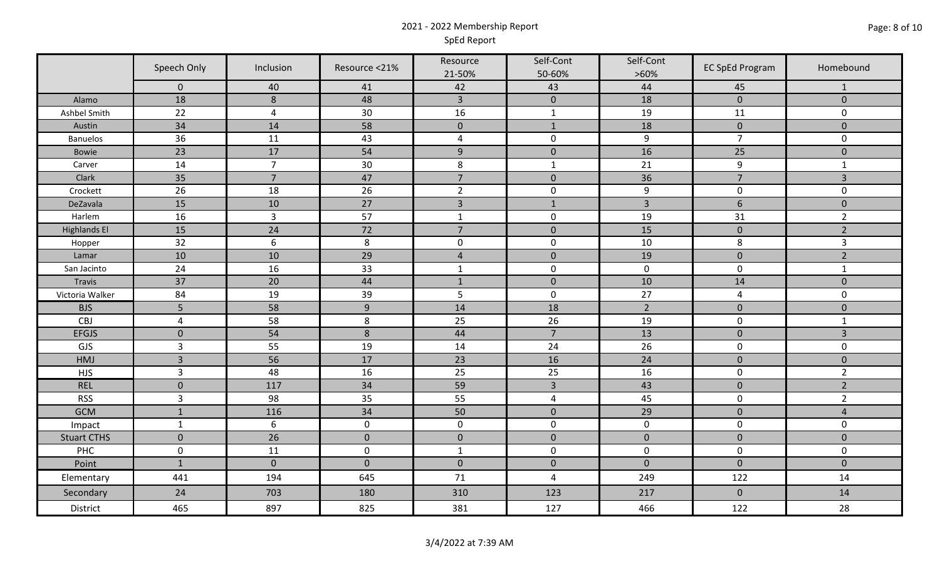### 2021 - 2022 Membership Report SpEd Report

|                     | Speech Only    | Inclusion        | Resource <21% | Resource       | Self-Cont           | Self-Cont      | <b>EC SpEd Program</b> | Homebound      |
|---------------------|----------------|------------------|---------------|----------------|---------------------|----------------|------------------------|----------------|
|                     | $\mathbf 0$    | 40               | 41            | 21-50%<br>42   | 50-60%<br>43        | $>60\%$<br>44  | 45                     | -1             |
| Alamo               | 18             | $\,8\,$          | 48            | $\overline{3}$ | $\pmb{0}$           | 18             | $\mathbf{0}$           | $\mathbf{0}$   |
| Ashbel Smith        | 22             | $\overline{4}$   | 30            | 16             | $\mathbf{1}$        | 19             | 11                     | $\mathbf 0$    |
| Austin              | 34             | 14               | 58            | $\mathbf 0$    | $\mathbf{1}$        | 18             | $\mathbf{0}$           | $\mathbf{0}$   |
| <b>Banuelos</b>     | 36             | 11               | 43            | $\overline{a}$ | $\mathbf 0$         | $9\,$          | $\overline{7}$         | $\mathbf 0$    |
| Bowie               | 23             | 17               | 54            | $\overline{9}$ | $\mathbf 0$         | 16             | 25                     | $\pmb{0}$      |
| Carver              | 14             | $\overline{7}$   | 30            | 8              | $\mathbf{1}$        | 21             | 9                      | $\mathbf{1}$   |
| Clark               | 35             | $\overline{7}$   | 47            | $\overline{7}$ | $\mathbf{0}$        | 36             | $\overline{7}$         | $\overline{3}$ |
| Crockett            | 26             | 18               | 26            | $\overline{2}$ | $\mathbf 0$         | 9              | $\mathbf 0$            | $\mathbf 0$    |
| DeZavala            | 15             | 10               | 27            | $\overline{3}$ | $1\,$               | $\overline{3}$ | $6\phantom{a}$         | $\mathbf{0}$   |
| Harlem              | 16             | $\overline{3}$   | 57            | $\mathbf 1$    | $\mathbf 0$         | 19             | 31                     | $\overline{2}$ |
| <b>Highlands El</b> | 15             | 24               | 72            | $\overline{7}$ | $\pmb{0}$           | 15             | $\pmb{0}$              | $\overline{2}$ |
| Hopper              | 32             | $\boldsymbol{6}$ | 8             | $\mathbf 0$    | $\mathbf 0$         | $10\,$         | 8                      | $\mathbf{3}$   |
| Lamar               | 10             | 10               | 29            | $\overline{4}$ | $\mathbf 0$         | 19             | $\overline{0}$         | $\overline{2}$ |
| San Jacinto         | 24             | 16               | 33            | $\mathbf 1$    | $\mathbf 0$         | $\mathbf 0$    | $\mathbf 0$            | $\mathbf{1}$   |
| Travis              | 37             | 20               | 44            | $\mathbf 1$    | $\mathbf 0$         | 10             | 14                     | $\mathbf{0}$   |
| Victoria Walker     | 84             | 19               | 39            | 5              | $\mathsf{O}\xspace$ | 27             | $\overline{4}$         | $\mathbf 0$    |
| <b>BJS</b>          | 5              | 58               | 9             | 14             | 18                  | $\overline{2}$ | $\mathbf{0}$           | $\mathbf 0$    |
| CBJ                 | $\sqrt{4}$     | 58               | 8             | 25             | 26                  | 19             | $\mathbf 0$            | $\mathbf{1}$   |
| <b>EFGJS</b>        | $\mathbf 0$    | 54               | $\,8\,$       | 44             | $\overline{7}$      | 13             | $\mathbf 0$            | $\overline{3}$ |
| GJS                 | $\mathbf{3}$   | 55               | 19            | 14             | 24                  | 26             | $\mathbf 0$            | $\mathbf 0$    |
| HMJ                 | $\overline{3}$ | 56               | 17            | 23             | 16                  | 24             | $\mathbf 0$            | $\mathbf 0$    |
| <b>HJS</b>          | $\mathsf 3$    | 48               | 16            | 25             | 25                  | 16             | $\mathbf 0$            | $\overline{2}$ |
| <b>REL</b>          | $\mathbf 0$    | 117              | 34            | 59             | $\overline{3}$      | 43             | $\mathbf 0$            | $\overline{2}$ |
| <b>RSS</b>          | $\overline{3}$ | 98               | 35            | 55             | 4                   | 45             | $\mathbf 0$            | $\overline{2}$ |
| <b>GCM</b>          | $\mathbf 1$    | 116              | 34            | 50             | $\mathbf 0$         | 29             | $\pmb{0}$              | $\overline{4}$ |
| Impact              | $\mathbf{1}$   | $\boldsymbol{6}$ | $\mathbf 0$   | $\mathbf 0$    | $\mathbf 0$         | $\mathbf 0$    | $\mathbf 0$            | $\mathbf 0$    |
| <b>Stuart CTHS</b>  | $\mathbf 0$    | 26               | $\mathbf 0$   | $\mathbf 0$    | $\mathbf 0$         | $\mathbf{0}$   | $\mathbf{0}$           | $\mathbf{0}$   |
| PHC                 | $\pmb{0}$      | 11               | $\pmb{0}$     | $\mathbf{1}$   | $\mathbf 0$         | $\mathbf 0$    | $\mathbf 0$            | $\mathbf 0$    |
| Point               | $\mathbf{1}$   | $\mathbf 0$      | $\mathbf 0$   | $\mathbf 0$    | $\mathbf 0$         | $\mathbf{0}$   | $\mathbf{0}$           | $\mathbf{0}$   |
| Elementary          | 441            | 194              | 645           | 71             | 4                   | 249            | 122                    | 14             |
| Secondary           | 24             | 703              | 180           | 310            | 123                 | 217            | $\mathbf 0$            | 14             |
| District            | 465            | 897              | 825           | 381            | 127                 | 466            | 122                    | 28             |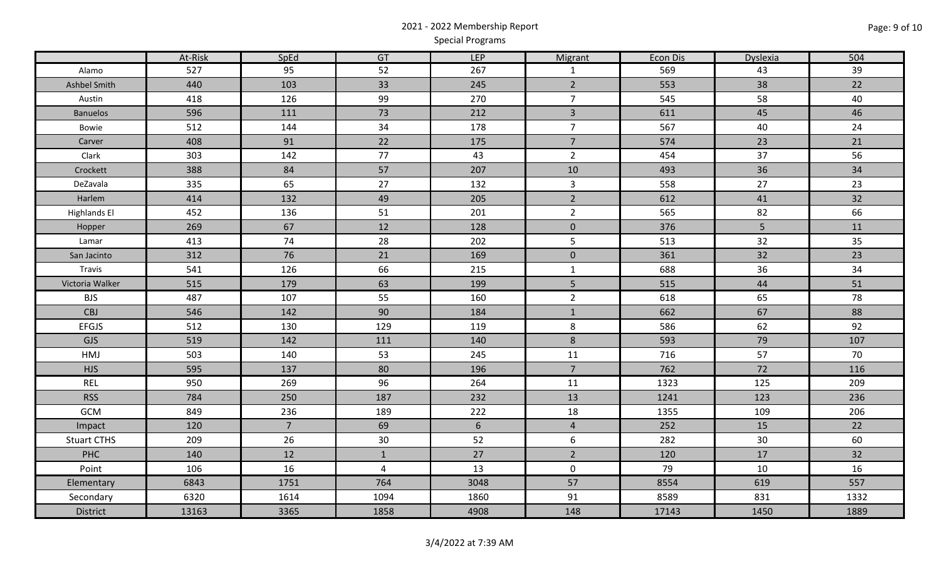# 2021 - 2022 Membership Report Special Programs

|                     | At-Risk | SpEd           | GT             | <b>LEP</b>      | Migrant        | Econ Dis | Dyslexia | 504  |
|---------------------|---------|----------------|----------------|-----------------|----------------|----------|----------|------|
| Alamo               | 527     | 95             | 52             | 267             | $\mathbf{1}$   | 569      | 43       | 39   |
| Ashbel Smith        | 440     | 103            | 33             | 245             | $\overline{2}$ | 553      | 38       | 22   |
| Austin              | 418     | 126            | 99             | 270             | $\overline{7}$ | 545      | 58       | 40   |
| <b>Banuelos</b>     | 596     | 111            | 73             | 212             | $\overline{3}$ | 611      | 45       | 46   |
| Bowie               | 512     | 144            | 34             | 178             | $\overline{7}$ | 567      | 40       | 24   |
| Carver              | 408     | 91             | 22             | 175             | $\overline{7}$ | 574      | 23       | 21   |
| Clark               | 303     | 142            | 77             | 43              | $\overline{2}$ | 454      | 37       | 56   |
| Crockett            | 388     | 84             | 57             | 207             | 10             | 493      | 36       | 34   |
| DeZavala            | 335     | 65             | 27             | 132             | $\mathbf{3}$   | 558      | 27       | 23   |
| Harlem              | 414     | 132            | 49             | 205             | $\overline{2}$ | 612      | 41       | 32   |
| <b>Highlands El</b> | 452     | 136            | 51             | 201             | $\overline{2}$ | 565      | 82       | 66   |
| Hopper              | 269     | 67             | 12             | 128             | $\mathbf 0$    | 376      | 5        | 11   |
| Lamar               | 413     | 74             | 28             | 202             | $\overline{5}$ | 513      | 32       | 35   |
| San Jacinto         | 312     | 76             | 21             | 169             | $\mathbf 0$    | 361      | 32       | 23   |
| Travis              | 541     | 126            | 66             | 215             | $\mathbf{1}$   | 688      | 36       | 34   |
| Victoria Walker     | 515     | 179            | 63             | 199             | 5              | 515      | 44       | 51   |
| <b>BJS</b>          | 487     | 107            | 55             | 160             | $\overline{2}$ | 618      | 65       | 78   |
| <b>CBJ</b>          | 546     | 142            | 90             | 184             | $\mathbf 1$    | 662      | 67       | 88   |
| <b>EFGJS</b>        | 512     | 130            | 129            | 119             | 8              | 586      | 62       | 92   |
| <b>GJS</b>          | 519     | 142            | 111            | 140             | $8\phantom{1}$ | 593      | 79       | 107  |
| HMJ                 | 503     | 140            | 53             | 245             | 11             | 716      | 57       | 70   |
| <b>HJS</b>          | 595     | 137            | 80             | 196             | $\overline{7}$ | 762      | 72       | 116  |
| <b>REL</b>          | 950     | 269            | 96             | 264             | 11             | 1323     | 125      | 209  |
| <b>RSS</b>          | 784     | 250            | 187            | 232             | 13             | 1241     | 123      | 236  |
| GCM                 | 849     | 236            | 189            | 222             | 18             | 1355     | 109      | 206  |
| Impact              | 120     | $\overline{7}$ | 69             | $6\overline{6}$ | $\overline{4}$ | 252      | 15       | 22   |
| <b>Stuart CTHS</b>  | 209     | 26             | 30             | 52              | 6              | 282      | 30       | 60   |
| <b>PHC</b>          | 140     | 12             | $\mathbf{1}$   | 27              | $\overline{2}$ | 120      | 17       | 32   |
| Point               | 106     | 16             | $\overline{4}$ | 13              | $\mathbf 0$    | 79       | 10       | 16   |
| Elementary          | 6843    | 1751           | 764            | 3048            | 57             | 8554     | 619      | 557  |
| Secondary           | 6320    | 1614           | 1094           | 1860            | 91             | 8589     | 831      | 1332 |
| District            | 13163   | 3365           | 1858           | 4908            | 148            | 17143    | 1450     | 1889 |